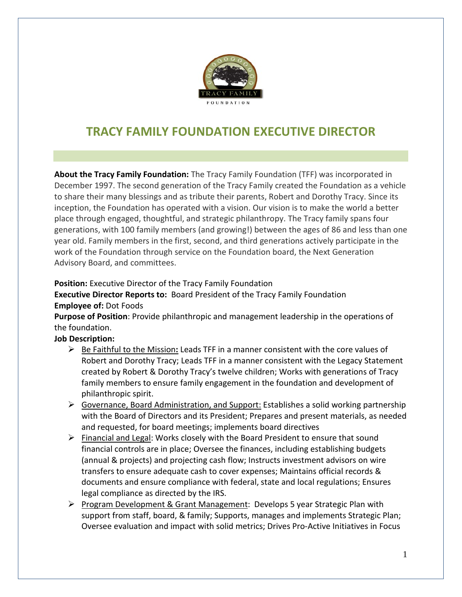

# **TRACY FAMILY FOUNDATION EXECUTIVE DIRECTOR**

**About the Tracy Family Foundation:** The Tracy Family Foundation (TFF) was incorporated in December 1997. The second generation of the Tracy Family created the Foundation as a vehicle to share their many blessings and as tribute their parents, Robert and Dorothy Tracy. Since its inception, the Foundation has operated with a vision. Our vision is to make the world a better place through engaged, thoughtful, and strategic philanthropy. The Tracy family spans four generations, with 100 family members (and growing!) between the ages of 86 and less than one year old. Family members in the first, second, and third generations actively participate in the work of the Foundation through service on the Foundation board, the Next Generation Advisory Board, and committees.

**Position:** Executive Director of the Tracy Family Foundation

## **Executive Director Reports to:** Board President of the Tracy Family Foundation **Employee of:** Dot Foods

**Purpose of Position**: Provide philanthropic and management leadership in the operations of the foundation.

## **Job Description:**

- Be Faithful to the Mission**:** Leads TFF in a manner consistent with the core values of Robert and Dorothy Tracy; Leads TFF in a manner consistent with the Legacy Statement created by Robert & Dorothy Tracy's twelve children; Works with generations of Tracy family members to ensure family engagement in the foundation and development of philanthropic spirit.
- $\triangleright$  Governance, Board Administration, and Support: Establishes a solid working partnership with the Board of Directors and its President; Prepares and present materials, as needed and requested, for board meetings; implements board directives
- $\triangleright$  Financial and Legal: Works closely with the Board President to ensure that sound financial controls are in place; Oversee the finances, including establishing budgets (annual & projects) and projecting cash flow; Instructs investment advisors on wire transfers to ensure adequate cash to cover expenses; Maintains official records & documents and ensure compliance with federal, state and local regulations; Ensures legal compliance as directed by the IRS.
- Program Development & Grant Management: Develops 5 year Strategic Plan with support from staff, board, & family; Supports, manages and implements Strategic Plan; Oversee evaluation and impact with solid metrics; Drives Pro-Active Initiatives in Focus